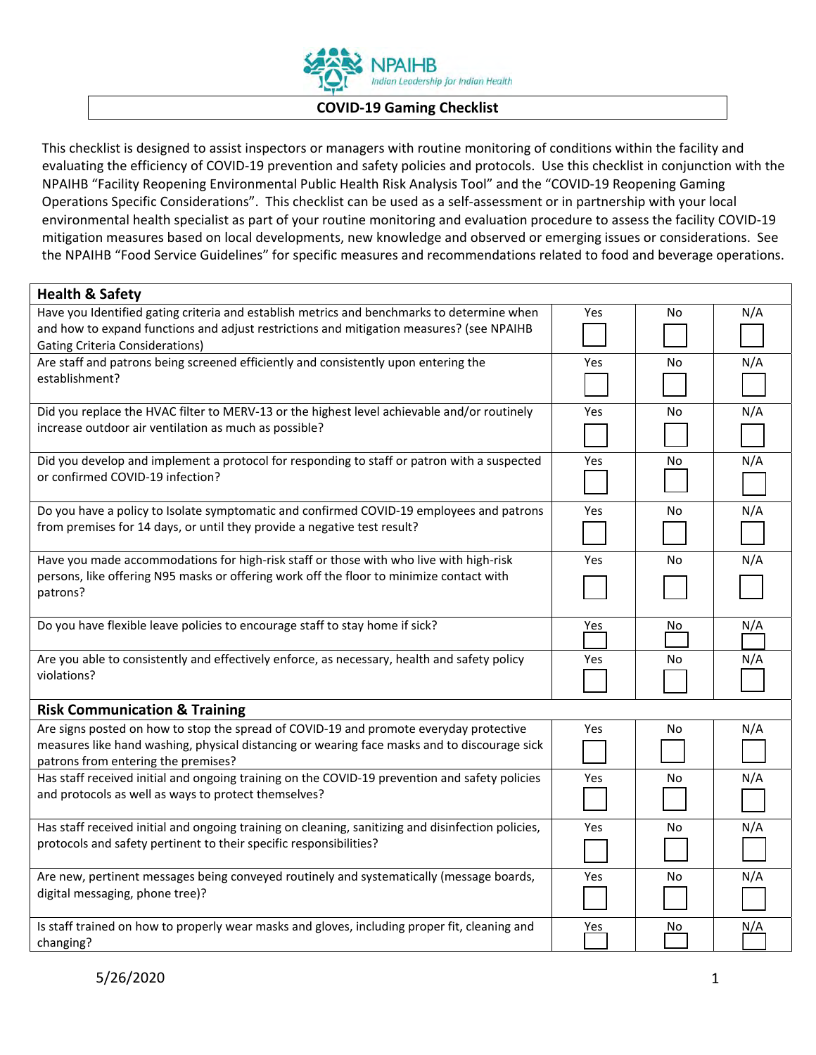

## **COVID‐19 Gaming Checklist**

This checklist is designed to assist inspectors or managers with routine monitoring of conditions within the facility and evaluating the efficiency of COVID‐19 prevention and safety policies and protocols. Use this checklist in conjunction with the NPAIHB "Facility Reopening Environmental Public Health Risk Analysis Tool" and the "COVID‐19 Reopening Gaming Operations Specific Considerations". This checklist can be used as a self‐assessment or in partnership with your local environmental health specialist as part of your routine monitoring and evaluation procedure to assess the facility COVID‐19 mitigation measures based on local developments, new knowledge and observed or emerging issues or considerations. See the NPAIHB "Food Service Guidelines" for specific measures and recommendations related to food and beverage operations.

| <b>Health &amp; Safety</b>                                                                                                          |            |     |     |
|-------------------------------------------------------------------------------------------------------------------------------------|------------|-----|-----|
| Have you Identified gating criteria and establish metrics and benchmarks to determine when                                          | Yes        | No. | N/A |
| and how to expand functions and adjust restrictions and mitigation measures? (see NPAIHB                                            |            |     |     |
| <b>Gating Criteria Considerations)</b>                                                                                              |            |     |     |
| Are staff and patrons being screened efficiently and consistently upon entering the                                                 | Yes        | No  | N/A |
| establishment?                                                                                                                      |            |     |     |
| Did you replace the HVAC filter to MERV-13 or the highest level achievable and/or routinely                                         | Yes        | No  | N/A |
| increase outdoor air ventilation as much as possible?                                                                               |            |     |     |
| Did you develop and implement a protocol for responding to staff or patron with a suspected                                         | Yes        | No  | N/A |
| or confirmed COVID-19 infection?                                                                                                    |            |     |     |
| Do you have a policy to Isolate symptomatic and confirmed COVID-19 employees and patrons                                            | Yes        | No  | N/A |
| from premises for 14 days, or until they provide a negative test result?                                                            |            |     |     |
| Have you made accommodations for high-risk staff or those with who live with high-risk                                              | Yes        | No  | N/A |
| persons, like offering N95 masks or offering work off the floor to minimize contact with                                            |            |     |     |
| patrons?                                                                                                                            |            |     |     |
| Do you have flexible leave policies to encourage staff to stay home if sick?                                                        | <u>Yes</u> | No  | N/A |
| Are you able to consistently and effectively enforce, as necessary, health and safety policy                                        | Yes        | No. | N/A |
| violations?                                                                                                                         |            |     |     |
| <b>Risk Communication &amp; Training</b>                                                                                            |            |     |     |
| Are signs posted on how to stop the spread of COVID-19 and promote everyday protective                                              | Yes        | No  | N/A |
| measures like hand washing, physical distancing or wearing face masks and to discourage sick<br>patrons from entering the premises? |            |     |     |
| Has staff received initial and ongoing training on the COVID-19 prevention and safety policies                                      | Yes        | No  | N/A |
| and protocols as well as ways to protect themselves?                                                                                |            |     |     |
| Has staff received initial and ongoing training on cleaning, sanitizing and disinfection policies,                                  | Yes        | No. | N/A |
| protocols and safety pertinent to their specific responsibilities?                                                                  |            |     |     |
| Are new, pertinent messages being conveyed routinely and systematically (message boards,                                            | Yes        | No  | N/A |
| digital messaging, phone tree)?                                                                                                     |            |     |     |
| Is staff trained on how to properly wear masks and gloves, including proper fit, cleaning and                                       | Yes        | No  | N/A |
| changing?                                                                                                                           |            |     |     |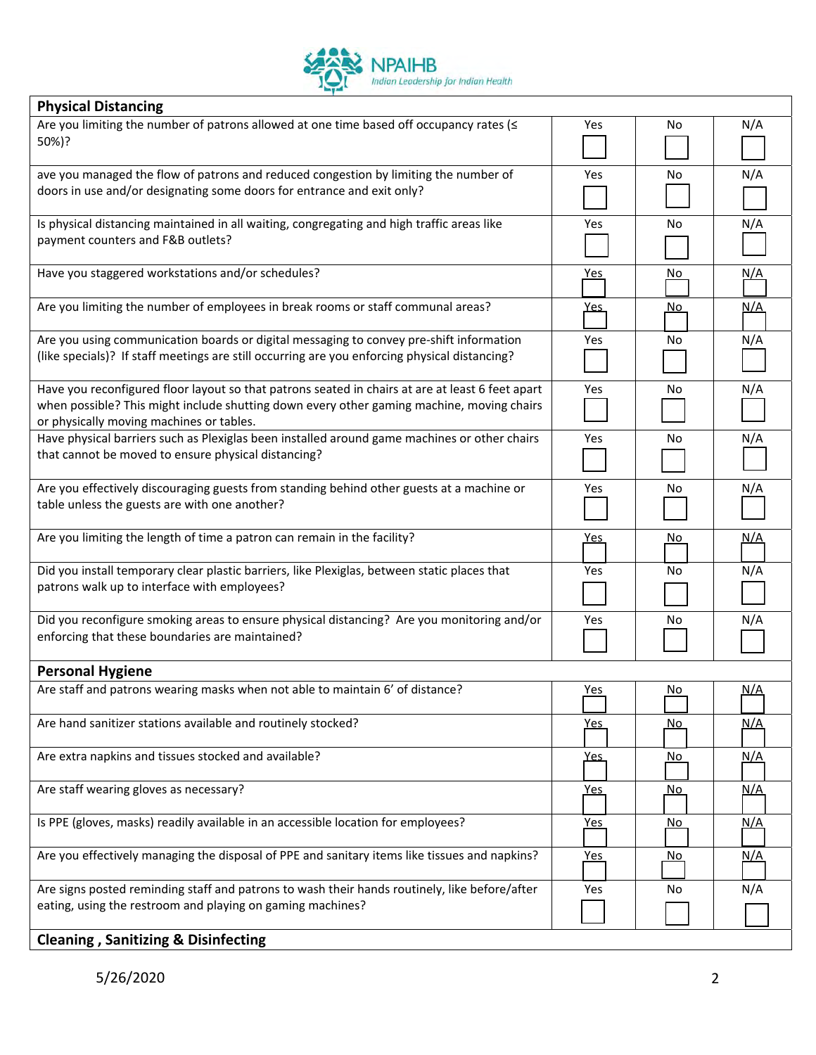

| <b>Physical Distancing</b>                                                                                                                                                                                                                |            |           |            |
|-------------------------------------------------------------------------------------------------------------------------------------------------------------------------------------------------------------------------------------------|------------|-----------|------------|
| Are you limiting the number of patrons allowed at one time based off occupancy rates (<<br>50%)?                                                                                                                                          | Yes        | No        | N/A        |
| ave you managed the flow of patrons and reduced congestion by limiting the number of<br>doors in use and/or designating some doors for entrance and exit only?                                                                            | Yes        | No        | N/A        |
| Is physical distancing maintained in all waiting, congregating and high traffic areas like<br>payment counters and F&B outlets?                                                                                                           | Yes        | No        | N/A        |
| Have you staggered workstations and/or schedules?                                                                                                                                                                                         | <u>Yes</u> | <u>No</u> | <u>N/A</u> |
| Are you limiting the number of employees in break rooms or staff communal areas?                                                                                                                                                          | <u>Yes</u> | No.       | <u>N/A</u> |
| Are you using communication boards or digital messaging to convey pre-shift information<br>(like specials)? If staff meetings are still occurring are you enforcing physical distancing?                                                  | Yes        | No        | N/A        |
| Have you reconfigured floor layout so that patrons seated in chairs at are at least 6 feet apart<br>when possible? This might include shutting down every other gaming machine, moving chairs<br>or physically moving machines or tables. | Yes        | No        | N/A        |
| Have physical barriers such as Plexiglas been installed around game machines or other chairs<br>that cannot be moved to ensure physical distancing?                                                                                       | Yes        | No        | N/A        |
| Are you effectively discouraging guests from standing behind other guests at a machine or<br>table unless the guests are with one another?                                                                                                | Yes        | No        | N/A        |
| Are you limiting the length of time a patron can remain in the facility?                                                                                                                                                                  | <u>Yes</u> | No        | <u>N/A</u> |
| Did you install temporary clear plastic barriers, like Plexiglas, between static places that<br>patrons walk up to interface with employees?                                                                                              | Yes        | No        | N/A        |
| Did you reconfigure smoking areas to ensure physical distancing? Are you monitoring and/or<br>enforcing that these boundaries are maintained?                                                                                             | Yes        | No        | N/A        |
| <b>Personal Hygiene</b>                                                                                                                                                                                                                   |            |           |            |
| Are staff and patrons wearing masks when not able to maintain 6' of distance?                                                                                                                                                             | <u>Yes</u> | No        | <u>N/A</u> |
| Are hand sanitizer stations available and routinely stocked?                                                                                                                                                                              | <u>Yes</u> | No.       | <u>N/A</u> |
| Are extra napkins and tissues stocked and available?                                                                                                                                                                                      | <u>Yes</u> | No        | <u>N/A</u> |
| Are staff wearing gloves as necessary?                                                                                                                                                                                                    | <u>Yes</u> | <u>No</u> | <u>N/A</u> |
| Is PPE (gloves, masks) readily available in an accessible location for employees?                                                                                                                                                         | <u>Yes</u> | <u>No</u> | <u>N/A</u> |
| Are you effectively managing the disposal of PPE and sanitary items like tissues and napkins?                                                                                                                                             | <u>Yes</u> | <u>No</u> | <u>N/A</u> |
| Are signs posted reminding staff and patrons to wash their hands routinely, like before/after                                                                                                                                             | Yes        | No        | N/A        |
| eating, using the restroom and playing on gaming machines?                                                                                                                                                                                |            |           |            |
| <b>Cleaning, Sanitizing &amp; Disinfecting</b>                                                                                                                                                                                            |            |           |            |